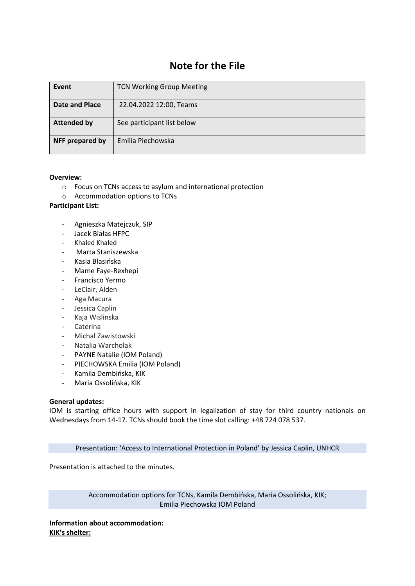# **Note for the File**

| Event              | <b>TCN Working Group Meeting</b> |
|--------------------|----------------------------------|
| Date and Place     | 22.04.2022 12:00, Teams          |
| <b>Attended by</b> | See participant list below       |
| NFF prepared by    | Emilia Piechowska                |

## **Overview:**

- o Focus on TCNs access to asylum and international protection
- o Accommodation options to TCNs

#### **Participant List:**

- Agnieszka Matejczuk, SIP
- Jacek Białas HFPC
- Khaled Khaled
- Marta Staniszewska
- Kasia Błasińska
- Mame Faye-Rexhepi
- Francisco Yermo
- LeClair, Alden
- Aga Macura
- Jessica Caplin
- Kaja Wislinska
- Caterina
- Michał Zawistowski
- Natalia Warcholak
- PAYNE Natalie (IOM Poland)
- PIECHOWSKA Emilia (IOM Poland)
- Kamila Dembińska, KIK
- Maria Ossolińska, KIK

#### **General updates:**

IOM is starting office hours with support in legalization of stay for third country nationals on Wednesdays from 14-17. TCNs should book the time slot calling: +48 724 078 537.

Presentation: 'Access to International Protection in Poland' by Jessica Caplin, UNHCR

Presentation is attached to the minutes.

Accommodation options for TCNs, Kamila Dembińska, Maria Ossolińska, KIK; Emilia Piechowska IOM Poland

**Information about accommodation: KIK's shelter:**